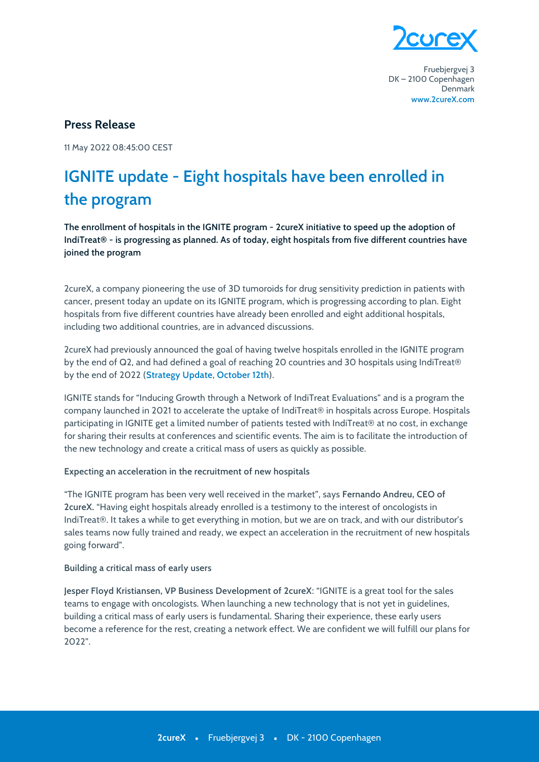

Fruebjergvej 3 DK-2100 Copenhagen Denmark www.2cureX.com

## **Press Release**

11 May 2022 08:45:00 CEST

## IGNITE update - Eight hospitals have been enrolled in the program

The enrollment of hospitals in the IGNITE program - 2cureX initiative to speed up the adoption of IndiTreat® - is progressing as planned. As of today, eight hospitals from five different countries have joined the program

2cureX, a company pioneering the use of 3D tumoroids for drug sensitivity prediction in patients with cancer, present today an update on its IGNITE program, which is progressing according to plan. Eight hospitals from five different countries have already been enrolled and eight additional hospitals, including two additional countries, are in advanced discussions.

2cureX had previously announced the goal of having twelve hospitals enrolled in the IGNITE program by the end of Q2, and had defined a goal of reaching 20 countries and 30 hospitals using IndiTreat® by the end of 2022 (Strategy Update, October 12th).

IGNITE stands for "Inducing Growth through a Network of IndiTreat Evaluations" and is a program the company launched in 2021 to accelerate the uptake of IndiTreat® in hospitals across Europe. Hospitals participating in IGNITE get a limited number of patients tested with IndiTreat® at no cost, in exchange for sharing their results at conferences and scientific events. The aim is to facilitate the introduction of the new technology and create a critical mass of users as quickly as possible.

## Expecting an acceleration in the recruitment of new hospitals

"The IGNITE program has been very well received in the market", says Fernando Andreu, CEO of 2cureX. "Having eight hospitals already enrolled is a testimony to the interest of oncologists in IndiTreat®. It takes a while to get everything in motion, but we are on track, and with our distributor's sales teams now fully trained and ready, we expect an acceleration in the recruitment of new hospitals going forward".

## Building a critical mass of early users

Jesper Floyd Kristiansen, VP Business Development of 2cureX: "IGNITE is a great tool for the sales teams to engage with oncologists. When launching a new technology that is not yet in guidelines, building a critical mass of early users is fundamental. Sharing their experience, these early users become a reference for the rest, creating a network effect. We are confident we will fulfill our plans for  $2022"$